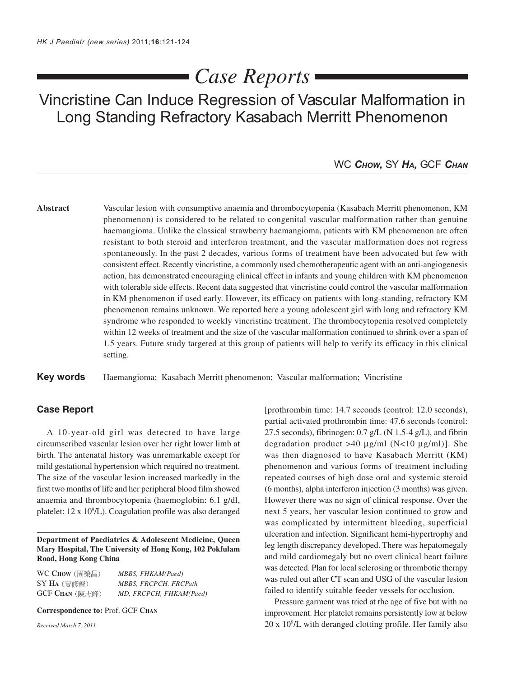# *Case Reports*

Vincristine Can Induce Regression of Vascular Malformation in Long Standing Refractory Kasabach Merritt Phenomenon

## WC *CHOW,* SY *HA,* GCF *CHAN*

**Abstract** Vascular lesion with consumptive anaemia and thrombocytopenia (Kasabach Merritt phenomenon, KM phenomenon) is considered to be related to congenital vascular malformation rather than genuine haemangioma. Unlike the classical strawberry haemangioma, patients with KM phenomenon are often resistant to both steroid and interferon treatment, and the vascular malformation does not regress spontaneously. In the past 2 decades, various forms of treatment have been advocated but few with consistent effect. Recently vincristine, a commonly used chemotherapeutic agent with an anti-angiogenesis action, has demonstrated encouraging clinical effect in infants and young children with KM phenomenon with tolerable side effects. Recent data suggested that vincristine could control the vascular malformation in KM phenomenon if used early. However, its efficacy on patients with long-standing, refractory KM phenomenon remains unknown. We reported here a young adolescent girl with long and refractory KM syndrome who responded to weekly vincristine treatment. The thrombocytopenia resolved completely within 12 weeks of treatment and the size of the vascular malformation continued to shrink over a span of 1.5 years. Future study targeted at this group of patients will help to verify its efficacy in this clinical setting.

**Key words** Haemangioma; Kasabach Merritt phenomenon; Vascular malformation; Vincristine

### **Case Report**

A 10-year-old girl was detected to have large circumscribed vascular lesion over her right lower limb at birth. The antenatal history was unremarkable except for mild gestational hypertension which required no treatment. The size of the vascular lesion increased markedly in the first two months of life and her peripheral blood film showed anaemia and thrombocytopenia (haemoglobin: 6.1 g/dl, platelet: 12 x 10<sup>9</sup>/L). Coagulation profile was also deranged

**Department of Paediatrics & Adolescent Medicine, Queen Mary Hospital, The University of Hong Kong, 102 Pokfulam Road, Hong Kong China**

| WC Chow (周榮昌)                         | MBBS, FHKAM(Paed)       |
|---------------------------------------|-------------------------|
| $SY$ $H_A$ $(\bar{\text{g}}$ 修腎 $)$ . | MBBS, FRCPCH, FRCPath   |
| <b>GCF Chan</b> (陳志峰)                 | MD, FRCPCH, FHKAM(Paed) |

**Correspondence to:** Prof. GCF **CHAN**

*Received March 7, 2011*

[prothrombin time: 14.7 seconds (control: 12.0 seconds), partial activated prothrombin time: 47.6 seconds (control: 27.5 seconds), fibrinogen:  $0.7$  g/L (N 1.5-4 g/L), and fibrin degradation product >40  $\mu$ g/ml (N<10  $\mu$ g/ml)]. She was then diagnosed to have Kasabach Merritt (KM) phenomenon and various forms of treatment including repeated courses of high dose oral and systemic steroid (6 months), alpha interferon injection (3 months) was given. However there was no sign of clinical response. Over the next 5 years, her vascular lesion continued to grow and was complicated by intermittent bleeding, superficial ulceration and infection. Significant hemi-hypertrophy and leg length discrepancy developed. There was hepatomegaly and mild cardiomegaly but no overt clinical heart failure was detected. Plan for local sclerosing or thrombotic therapy was ruled out after CT scan and USG of the vascular lesion failed to identify suitable feeder vessels for occlusion.

Pressure garment was tried at the age of five but with no improvement. Her platelet remains persistently low at below 20 x 109 /L with deranged clotting profile. Her family also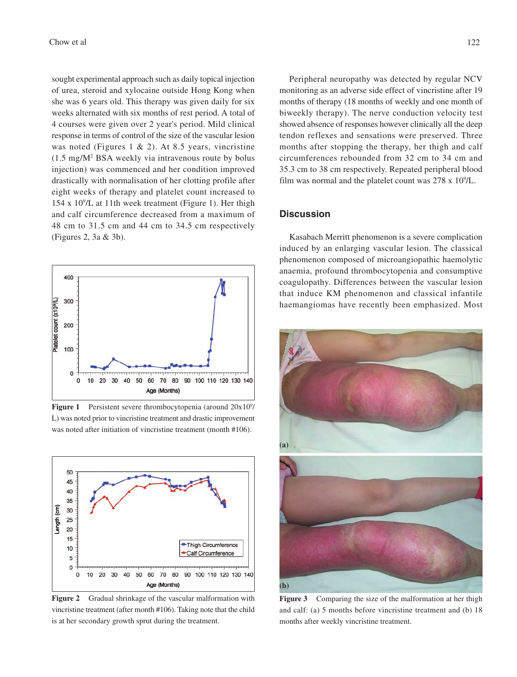sought experimental approach such as daily topical injection of urea, steroid and xylocaine outside Hong Kong when she was 6 years old. This therapy was given daily for six weeks alternated with six months of rest period. A total of 4 courses were given over 2 year's period. Mild clinical response in terms of control of the size of the vascular lesion was noted (Figures 1 & 2). At 8.5 years, vincristine (1.5 mg/M2 BSA weekly via intravenous route by bolus injection) was commenced and her condition improved drastically with normalisation of her clotting profile after eight weeks of therapy and platelet count increased to 154 x 109 /L at 11th week treatment (Figure 1). Her thigh and calf circumference decreased from a maximum of 48 cm to 31.5 cm and 44 cm to 34.5 cm respectively (Figures 2, 3a & 3b).



**Figure 1** Persistent severe thrombocytopenia (around 20x10<sup>9</sup>/ L) was noted prior to vincristine treatment and drastic improvement was noted after initiation of vincristine treatment (month #106).



**Figure 2** Gradual shrinkage of the vascular malformation with vincristine treatment (after month #106). Taking note that the child is at her secondary growth sprut during the treatment.

Peripheral neuropathy was detected by regular NCV monitoring as an adverse side effect of vincristine after 19 months of therapy (18 months of weekly and one month of biweekly therapy). The nerve conduction velocity test showed absence of responses however clinically all the deep tendon reflexes and sensations were preserved. Three months after stopping the therapy, her thigh and calf circumferences rebounded from 32 cm to 34 cm and 35.3 cm to 38 cm respectively. Repeated peripheral blood film was normal and the platelet count was  $278 \times 10^9$ /L.

### **Discussion**

Kasabach Merritt phenomenon is a severe complication induced by an enlarging vascular lesion. The classical phenomenon composed of microangiopathic haemolytic anaemia, profound thrombocytopenia and consumptive coagulopathy. Differences between the vascular lesion that induce KM phenomenon and classical infantile haemangiomas have recently been emphasized. Most



Figure 3 Comparing the size of the malformation at her thigh and calf: (a) 5 months before vincristine treatment and (b) 18 months after weekly vincristine treatment.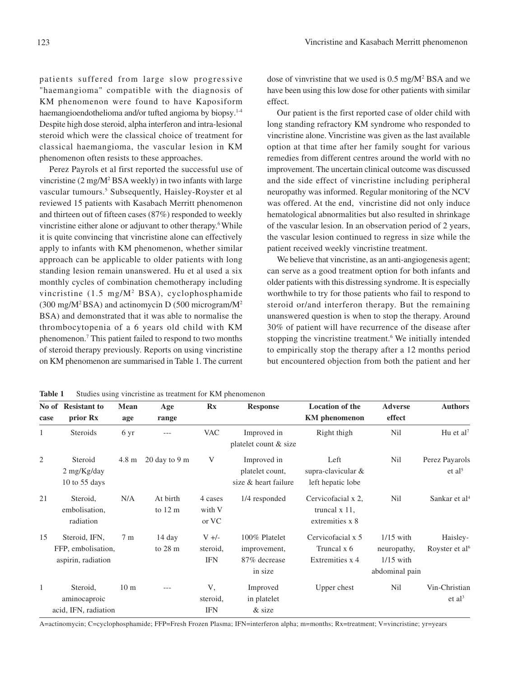patients suffered from large slow progressive "haemangioma" compatible with the diagnosis of KM phenomenon were found to have Kaposiform haemangioendothelioma and/or tufted angioma by biopsy.<sup>1-4</sup> Despite high dose steroid, alpha interferon and intra-lesional steroid which were the classical choice of treatment for classical haemangioma, the vascular lesion in KM phenomenon often resists to these approaches.

Perez Payrols et al first reported the successful use of vincristine (2 mg/M<sup>2</sup> BSA weekly) in two infants with large vascular tumours.<sup>5</sup> Subsequently, Haisley-Royster et al reviewed 15 patients with Kasabach Merritt phenomenon and thirteen out of fifteen cases (87%) responded to weekly vincristine either alone or adjuvant to other therapy.<sup>6</sup> While it is quite convincing that vincristine alone can effectively apply to infants with KM phenomenon, whether similar approach can be applicable to older patients with long standing lesion remain unanswered. Hu et al used a six monthly cycles of combination chemotherapy including vincristine  $(1.5 \text{ mg/M}^2 \text{ BSA})$ , cyclophosphamide (300 mg/M2 BSA) and actinomycin D (500 microgram/M2 BSA) and demonstrated that it was able to normalise the thrombocytopenia of a 6 years old child with KM phenomenon.7 This patient failed to respond to two months of steroid therapy previously. Reports on using vincristine on KM phenomenon are summarised in Table 1. The current

dose of vinvristine that we used is 0.5 mg/M2 BSA and we have been using this low dose for other patients with similar effect.

Our patient is the first reported case of older child with long standing refractory KM syndrome who responded to vincristine alone. Vincristine was given as the last available option at that time after her family sought for various remedies from different centres around the world with no improvement. The uncertain clinical outcome was discussed and the side effect of vincristine including peripheral neuropathy was informed. Regular monitoring of the NCV was offered. At the end, vincristine did not only induce hematological abnormalities but also resulted in shrinkage of the vascular lesion. In an observation period of 2 years, the vascular lesion continued to regress in size while the patient received weekly vincristine treatment.

We believe that vincristine, as an anti-angiogenesis agent; can serve as a good treatment option for both infants and older patients with this distressing syndrome. It is especially worthwhile to try for those patients who fail to respond to steroid or/and interferon therapy. But the remaining unanswered question is when to stop the therapy. Around 30% of patient will have recurrence of the disease after stopping the vincristine treatment.<sup>6</sup> We initially intended to empirically stop the therapy after a 12 months period but encountered objection from both the patient and her

**Table 1** Studies using vincristine as treatment for KM phenomenon

| 21 | Steroid.<br>embolisation.<br>radiation                    | N/A             | At birth<br>to $12 \text{ m}$ | 4 cases<br>with V<br>or VC        | 1/4 responded                                            | Cervicofacial x 2.<br>truncal $x$ 11,<br>extremities x 8 | Nil                                                         | Sankar et al <sup>4</sup>              |
|----|-----------------------------------------------------------|-----------------|-------------------------------|-----------------------------------|----------------------------------------------------------|----------------------------------------------------------|-------------------------------------------------------------|----------------------------------------|
| 15 | Steroid. IFN.<br>FFP, embolisation,<br>aspirin, radiation | 7 m             | 14 day<br>to $28 \text{ m}$   | $V +/-$<br>steroid,<br><b>IFN</b> | 100% Platelet<br>improvement,<br>87% decrease<br>in size | Cervicofacial x 5<br>Truncal x 6<br>Extremities x 4      | $1/15$ with<br>neuropathy,<br>$1/15$ with<br>abdominal pain | Haisley-<br>Royster et al <sup>6</sup> |
|    | Steroid.<br>aminocaproic<br>acid, IFN, radiation          | 10 <sub>m</sub> | $---$                         | V,<br>steroid.<br><b>IFN</b>      | Improved<br>in platelet<br>$&$ size                      | Upper chest                                              | Nil                                                         | Vin-Christian<br>et al <sup>3</sup>    |

**No of Resistant to Mean Age Rx Response Location of the Adverse Authors**

1 Steroids 6 yr --- VAC Improved in Right thigh Nil Hu et al<sup>7</sup> platelet count & size

2 Steroid 4.8 m 20 day to 9 m V Improved in Left Nil Perez Payarols  $2 \text{ mg/Kg/day}$  et al<sup>5</sup> platelet count, supra-clavicular & et al<sup>5</sup>

**case prior Rx age range KM phenomenon effect**

10 to 55 days size & heart failure left hepatic lobe

A=actinomycin; C=cyclophosphamide; FFP=Fresh Frozen Plasma; IFN=interferon alpha; m=months; Rx=treatment; V=vincristine; yr=years